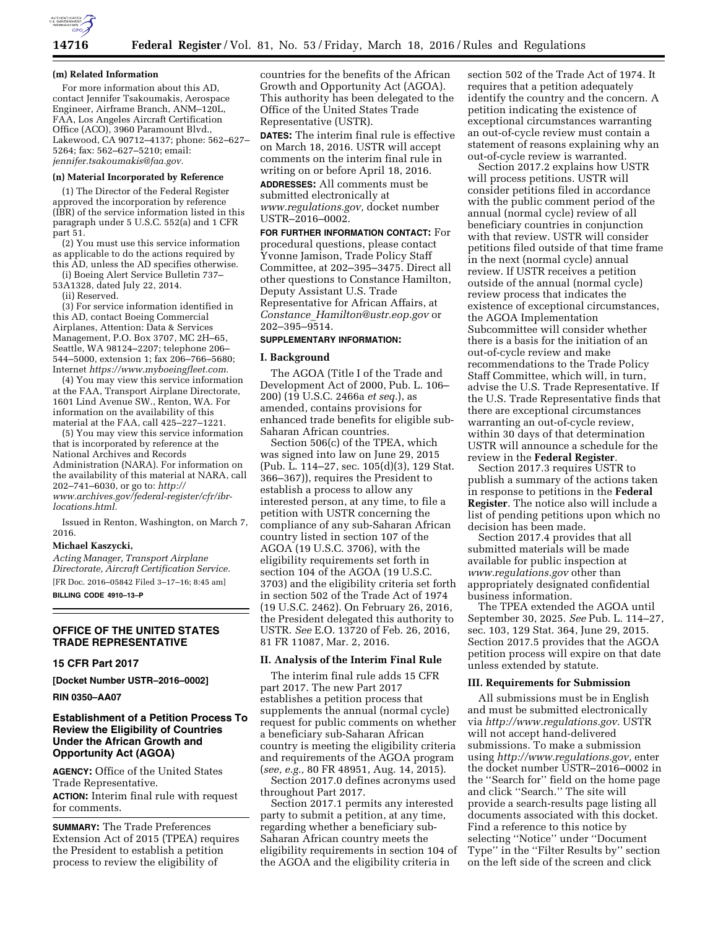

#### **(m) Related Information**

For more information about this AD, contact Jennifer Tsakoumakis, Aerospace Engineer, Airframe Branch, ANM–120L, FAA, Los Angeles Aircraft Certification Office (ACO), 3960 Paramount Blvd., Lakewood, CA 90712–4137; phone: 562–627– 5264; fax: 562–627–5210; email: *[jennifer.tsakoumakis@faa.gov.](mailto:jennifer.tsakoumakis@faa.gov)* 

### **(n) Material Incorporated by Reference**

(1) The Director of the Federal Register approved the incorporation by reference (IBR) of the service information listed in this paragraph under 5 U.S.C. 552(a) and 1 CFR part 51.

(2) You must use this service information as applicable to do the actions required by this AD, unless the AD specifies otherwise.

(i) Boeing Alert Service Bulletin 737–

53A1328, dated July 22, 2014.

(ii) Reserved.

(3) For service information identified in this AD, contact Boeing Commercial Airplanes, Attention: Data & Services Management, P.O. Box 3707, MC 2H–65, Seattle, WA 98124–2207; telephone 206– 544–5000, extension 1; fax 206–766–5680; Internet *[https://www.myboeingfleet.com.](https://www.myboeingfleet.com)* 

(4) You may view this service information at the FAA, Transport Airplane Directorate, 1601 Lind Avenue SW., Renton, WA. For information on the availability of this material at the FAA, call 425–227–1221.

(5) You may view this service information that is incorporated by reference at the National Archives and Records Administration (NARA). For information on the availability of this material at NARA, call 202–741–6030, or go to: *[http://](http://www.archives.gov/federal-register/cfr/ibr-locations.html) [www.archives.gov/federal-register/cfr/ibr](http://www.archives.gov/federal-register/cfr/ibr-locations.html)[locations.html.](http://www.archives.gov/federal-register/cfr/ibr-locations.html)* 

Issued in Renton, Washington, on March 7, 2016.

#### **Michael Kaszycki,**

*Acting Manager, Transport Airplane Directorate, Aircraft Certification Service.*  [FR Doc. 2016–05842 Filed 3–17–16; 8:45 am] **BILLING CODE 4910–13–P** 

# **OFFICE OF THE UNITED STATES TRADE REPRESENTATIVE**

### **15 CFR Part 2017**

**[Docket Number USTR–2016–0002]** 

**RIN 0350–AA07** 

# **Establishment of a Petition Process To Review the Eligibility of Countries Under the African Growth and Opportunity Act (AGOA)**

**AGENCY:** Office of the United States Trade Representative. **ACTION:** Interim final rule with request for comments.

**SUMMARY:** The Trade Preferences Extension Act of 2015 (TPEA) requires the President to establish a petition process to review the eligibility of

countries for the benefits of the African Growth and Opportunity Act (AGOA). This authority has been delegated to the Office of the United States Trade Representative (USTR).

**DATES:** The interim final rule is effective on March 18, 2016. USTR will accept comments on the interim final rule in writing on or before April 18, 2016.

**ADDRESSES:** All comments must be submitted electronically at *[www.regulations.gov,](http://www.regulations.gov)* docket number USTR–2016–0002.

**FOR FURTHER INFORMATION CONTACT:** For procedural questions, please contact Yvonne Jamison, Trade Policy Staff Committee, at 202–395–3475. Direct all other questions to Constance Hamilton, Deputy Assistant U.S. Trade Representative for African Affairs, at *Constance*\_*[Hamilton@ustr.eop.gov](mailto:Constance_Hamilton@ustr.eop.gov)* or 202–395–9514.

# **SUPPLEMENTARY INFORMATION:**

#### **I. Background**

The AGOA (Title I of the Trade and Development Act of 2000, Pub. L. 106– 200) (19 U.S.C. 2466a *et seq.*), as amended, contains provisions for enhanced trade benefits for eligible sub-Saharan African countries.

Section 506(c) of the TPEA, which was signed into law on June 29, 2015 (Pub. L. 114–27, sec. 105(d)(3), 129 Stat. 366–367)), requires the President to establish a process to allow any interested person, at any time, to file a petition with USTR concerning the compliance of any sub-Saharan African country listed in section 107 of the AGOA (19 U.S.C. 3706), with the eligibility requirements set forth in section 104 of the AGOA (19 U.S.C. 3703) and the eligibility criteria set forth in section 502 of the Trade Act of 1974 (19 U.S.C. 2462). On February 26, 2016, the President delegated this authority to USTR. *See* E.O. 13720 of Feb. 26, 2016, 81 FR 11087, Mar. 2, 2016.

#### **II. Analysis of the Interim Final Rule**

The interim final rule adds 15 CFR part 2017. The new Part 2017 establishes a petition process that supplements the annual (normal cycle) request for public comments on whether a beneficiary sub-Saharan African country is meeting the eligibility criteria and requirements of the AGOA program (*see, e.g.,* 80 FR 48951, Aug. 14, 2015).

Section 2017.0 defines acronyms used throughout Part 2017.

Section 2017.1 permits any interested party to submit a petition, at any time, regarding whether a beneficiary sub-Saharan African country meets the eligibility requirements in section 104 of the AGOA and the eligibility criteria in

section 502 of the Trade Act of 1974. It requires that a petition adequately identify the country and the concern. A petition indicating the existence of exceptional circumstances warranting an out-of-cycle review must contain a statement of reasons explaining why an out-of-cycle review is warranted.

Section 2017.2 explains how USTR will process petitions. USTR will consider petitions filed in accordance with the public comment period of the annual (normal cycle) review of all beneficiary countries in conjunction with that review. USTR will consider petitions filed outside of that time frame in the next (normal cycle) annual review. If USTR receives a petition outside of the annual (normal cycle) review process that indicates the existence of exceptional circumstances, the AGOA Implementation Subcommittee will consider whether there is a basis for the initiation of an out-of-cycle review and make recommendations to the Trade Policy Staff Committee, which will, in turn, advise the U.S. Trade Representative. If the U.S. Trade Representative finds that there are exceptional circumstances warranting an out-of-cycle review, within 30 days of that determination USTR will announce a schedule for the review in the **Federal Register**.

Section 2017.3 requires USTR to publish a summary of the actions taken in response to petitions in the **Federal Register**. The notice also will include a list of pending petitions upon which no decision has been made.

Section 2017.4 provides that all submitted materials will be made available for public inspection at *[www.regulations.gov](http://www.regulations.gov)* other than appropriately designated confidential business information.

The TPEA extended the AGOA until September 30, 2025. *See* Pub. L. 114–27, sec. 103, 129 Stat. 364, June 29, 2015. Section 2017.5 provides that the AGOA petition process will expire on that date unless extended by statute.

### **III. Requirements for Submission**

All submissions must be in English and must be submitted electronically via *[http://www.regulations.gov.](http://www.regulations.gov)* USTR will not accept hand-delivered submissions. To make a submission using *[http://www.regulations.gov,](http://www.regulations.gov)* enter the docket number USTR–2016–0002 in the ''Search for'' field on the home page and click ''Search.'' The site will provide a search-results page listing all documents associated with this docket. Find a reference to this notice by selecting ''Notice'' under ''Document Type'' in the ''Filter Results by'' section on the left side of the screen and click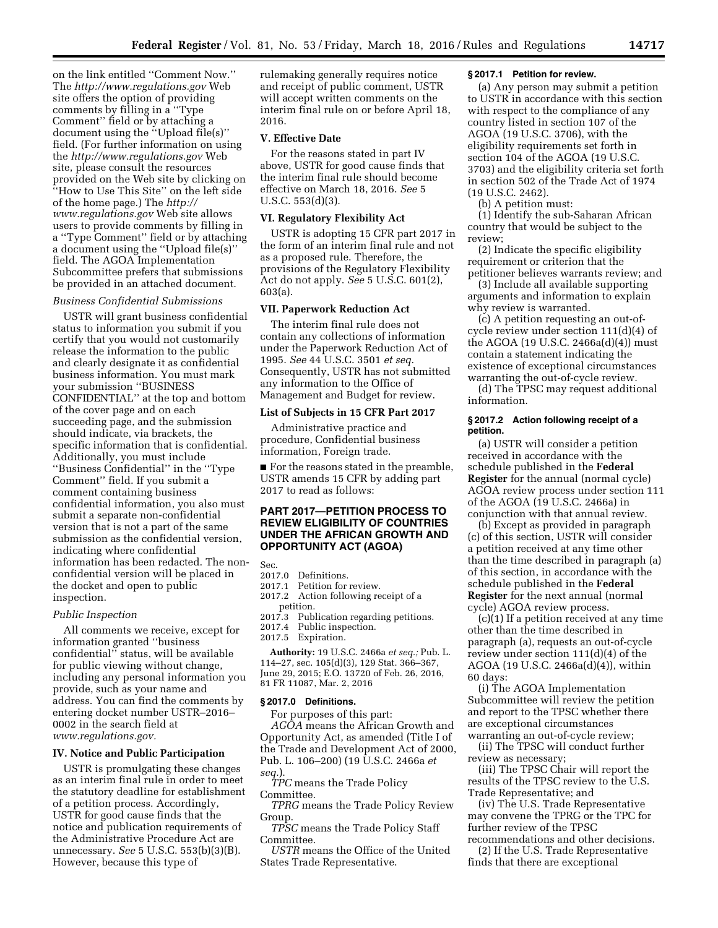on the link entitled ''Comment Now.'' The *<http://www.regulations.gov>*Web site offers the option of providing comments by filling in a ''Type Comment'' field or by attaching a document using the ''Upload file(s)'' field. (For further information on using the *<http://www.regulations.gov>*Web site, please consult the resources provided on the Web site by clicking on ''How to Use This Site'' on the left side of the home page.) The *[http://](http://www.regulations.gov) [www.regulations.gov](http://www.regulations.gov)* Web site allows users to provide comments by filling in a ''Type Comment'' field or by attaching a document using the ''Upload file(s)'' field. The AGOA Implementation Subcommittee prefers that submissions be provided in an attached document.

# *Business Confidential Submissions*

USTR will grant business confidential status to information you submit if you certify that you would not customarily release the information to the public and clearly designate it as confidential business information. You must mark your submission ''BUSINESS CONFIDENTIAL'' at the top and bottom of the cover page and on each succeeding page, and the submission should indicate, via brackets, the specific information that is confidential. Additionally, you must include ''Business Confidential'' in the ''Type Comment'' field. If you submit a comment containing business confidential information, you also must submit a separate non-confidential version that is not a part of the same submission as the confidential version, indicating where confidential information has been redacted. The nonconfidential version will be placed in the docket and open to public inspection.

#### *Public Inspection*

All comments we receive, except for information granted ''business confidential'' status, will be available for public viewing without change, including any personal information you provide, such as your name and address. You can find the comments by entering docket number USTR–2016– 0002 in the search field at *[www.regulations.gov.](http://www.regulations.gov)* 

### **IV. Notice and Public Participation**

USTR is promulgating these changes as an interim final rule in order to meet the statutory deadline for establishment of a petition process. Accordingly, USTR for good cause finds that the notice and publication requirements of the Administrative Procedure Act are unnecessary. *See* 5 U.S.C. 553(b)(3)(B). However, because this type of

rulemaking generally requires notice and receipt of public comment, USTR will accept written comments on the interim final rule on or before April 18, 2016.

#### **V. Effective Date**

For the reasons stated in part IV above, USTR for good cause finds that the interim final rule should become effective on March 18, 2016. *See* 5 U.S.C. 553(d)(3).

### **VI. Regulatory Flexibility Act**

USTR is adopting 15 CFR part 2017 in the form of an interim final rule and not as a proposed rule. Therefore, the provisions of the Regulatory Flexibility Act do not apply. *See* 5 U.S.C. 601(2), 603(a).

## **VII. Paperwork Reduction Act**

The interim final rule does not contain any collections of information under the Paperwork Reduction Act of 1995. *See* 44 U.S.C. 3501 *et seq.*  Consequently, USTR has not submitted any information to the Office of Management and Budget for review.

### **List of Subjects in 15 CFR Part 2017**

Administrative practice and procedure, Confidential business information, Foreign trade.

■ For the reasons stated in the preamble, USTR amends 15 CFR by adding part 2017 to read as follows:

# **PART 2017—PETITION PROCESS TO REVIEW ELIGIBILITY OF COUNTRIES UNDER THE AFRICAN GROWTH AND OPPORTUNITY ACT (AGOA)**

Sec.<br>2017.0

- 2017.0 Definitions.<br>2017.1 Petition for
- Petition for review.
- 2017.2 Action following receipt of a petition.
- 2017.3 Publication regarding petitions.
- 2017.4 Public inspection.
- 2017.5 Expiration.

**Authority:** 19 U.S.C. 2466a *et seq.;* Pub. L. 114–27, sec. 105(d)(3), 129 Stat. 366–367, June 29, 2015; E.O. 13720 of Feb. 26, 2016, 81 FR 11087, Mar. 2, 2016

### **§ 2017.0 Definitions.**

For purposes of this part: *AGOA* means the African Growth and Opportunity Act, as amended (Title I of the Trade and Development Act of 2000, Pub. L. 106–200) (19 U.S.C. 2466a *et seq.*).

*TPC* means the Trade Policy Committee.

*TPRG* means the Trade Policy Review Group.

*TPSC* means the Trade Policy Staff Committee.

*USTR* means the Office of the United States Trade Representative.

#### **§ 2017.1 Petition for review.**

(a) Any person may submit a petition to USTR in accordance with this section with respect to the compliance of any country listed in section 107 of the AGOA (19 U.S.C. 3706), with the eligibility requirements set forth in section 104 of the AGOA (19 U.S.C. 3703) and the eligibility criteria set forth in section 502 of the Trade Act of 1974 (19 U.S.C. 2462).

(b) A petition must:

(1) Identify the sub-Saharan African country that would be subject to the review;

(2) Indicate the specific eligibility requirement or criterion that the petitioner believes warrants review; and

(3) Include all available supporting arguments and information to explain why review is warranted.

(c) A petition requesting an out-ofcycle review under section 111(d)(4) of the AGOA (19 U.S.C. 2466a(d)(4)) must contain a statement indicating the existence of exceptional circumstances warranting the out-of-cycle review. (d) The TPSC may request additional information.

### **§ 2017.2 Action following receipt of a petition.**

(a) USTR will consider a petition received in accordance with the schedule published in the **Federal Register** for the annual (normal cycle) AGOA review process under section 111 of the AGOA (19 U.S.C. 2466a) in conjunction with that annual review.

(b) Except as provided in paragraph (c) of this section, USTR will consider a petition received at any time other than the time described in paragraph (a) of this section, in accordance with the schedule published in the **Federal Register** for the next annual (normal cycle) AGOA review process.

(c)(1) If a petition received at any time other than the time described in paragraph (a), requests an out-of-cycle review under section 111(d)(4) of the AGOA (19 U.S.C. 2466a(d)(4)), within 60 days:

(i) The AGOA Implementation Subcommittee will review the petition and report to the TPSC whether there are exceptional circumstances warranting an out-of-cycle review;

(ii) The TPSC will conduct further review as necessary;

(iii) The TPSC Chair will report the results of the TPSC review to the U.S. Trade Representative; and

(iv) The U.S. Trade Representative may convene the TPRG or the TPC for further review of the TPSC recommendations and other decisions.

(2) If the U.S. Trade Representative finds that there are exceptional